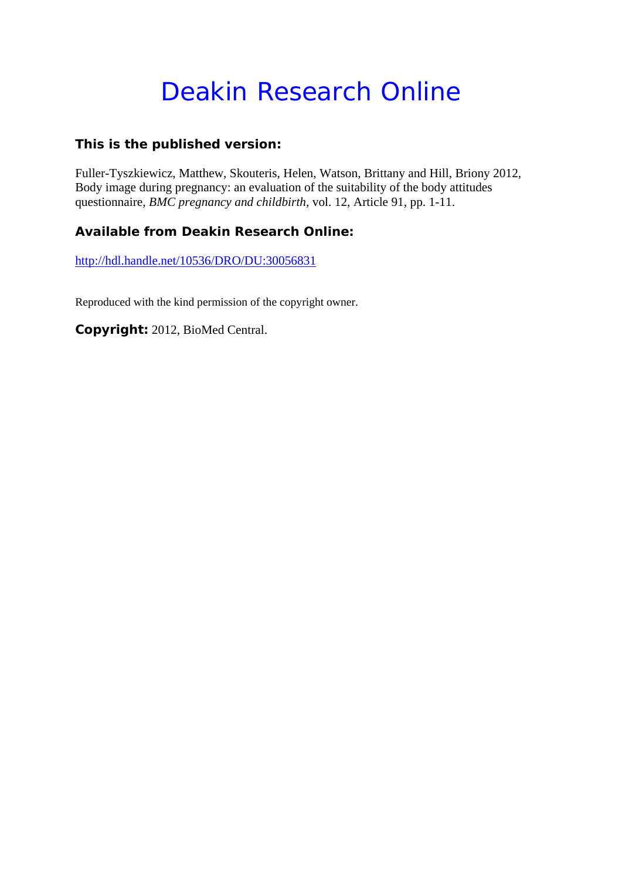# Deakin Research Online

# **This is the published version:**

Fuller-Tyszkiewicz, Matthew, Skouteris, Helen, Watson, Brittany and Hill, Briony 2012, Body image during pregnancy: an evaluation of the suitability of the body attitudes questionnaire*, BMC pregnancy and childbirth*, vol. 12, Article 91, pp. 1-11.

# **Available from Deakin Research Online:**

http://hdl.handle.net/10536/DRO/DU:30056831

Reproduced with the kind permission of the copyright owner.

**Copyright:** 2012, BioMed Central.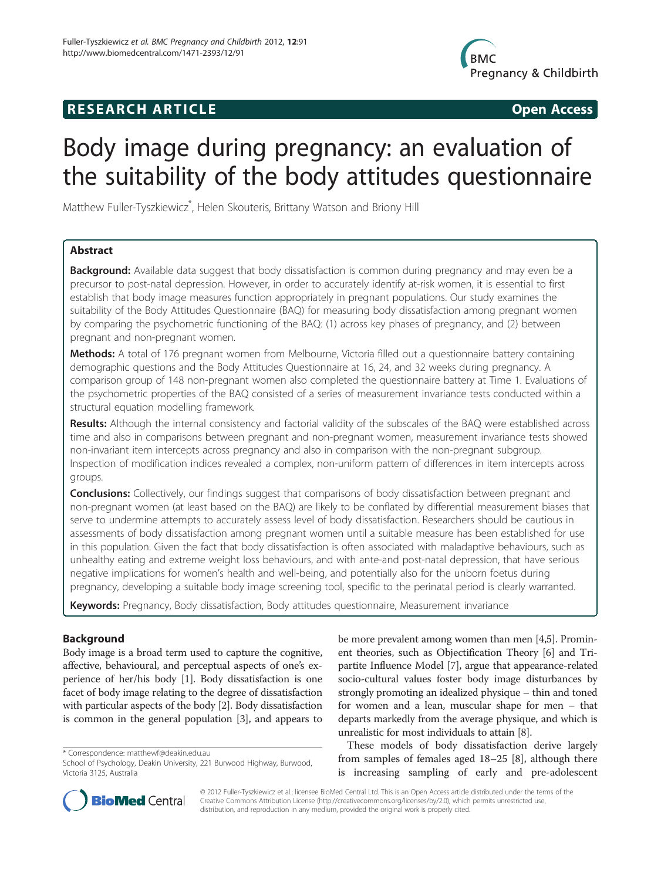

# **RESEARCH ARTICLE Example 2018 12:00 Open Access**

# Body image during pregnancy: an evaluation of the suitability of the body attitudes questionnaire

Matthew Fuller-Tyszkiewicz\* , Helen Skouteris, Brittany Watson and Briony Hill

# Abstract

**Background:** Available data suggest that body dissatisfaction is common during pregnancy and may even be a precursor to post-natal depression. However, in order to accurately identify at-risk women, it is essential to first establish that body image measures function appropriately in pregnant populations. Our study examines the suitability of the Body Attitudes Questionnaire (BAQ) for measuring body dissatisfaction among pregnant women by comparing the psychometric functioning of the BAQ: (1) across key phases of pregnancy, and (2) between pregnant and non-pregnant women.

Methods: A total of 176 pregnant women from Melbourne, Victoria filled out a questionnaire battery containing demographic questions and the Body Attitudes Questionnaire at 16, 24, and 32 weeks during pregnancy. A comparison group of 148 non-pregnant women also completed the questionnaire battery at Time 1. Evaluations of the psychometric properties of the BAQ consisted of a series of measurement invariance tests conducted within a structural equation modelling framework.

Results: Although the internal consistency and factorial validity of the subscales of the BAQ were established across time and also in comparisons between pregnant and non-pregnant women, measurement invariance tests showed non-invariant item intercepts across pregnancy and also in comparison with the non-pregnant subgroup. Inspection of modification indices revealed a complex, non-uniform pattern of differences in item intercepts across groups.

**Conclusions:** Collectively, our findings suggest that comparisons of body dissatisfaction between pregnant and non-pregnant women (at least based on the BAQ) are likely to be conflated by differential measurement biases that serve to undermine attempts to accurately assess level of body dissatisfaction. Researchers should be cautious in assessments of body dissatisfaction among pregnant women until a suitable measure has been established for use in this population. Given the fact that body dissatisfaction is often associated with maladaptive behaviours, such as unhealthy eating and extreme weight loss behaviours, and with ante-and post-natal depression, that have serious negative implications for women's health and well-being, and potentially also for the unborn foetus during pregnancy, developing a suitable body image screening tool, specific to the perinatal period is clearly warranted.

Keywords: Pregnancy, Body dissatisfaction, Body attitudes questionnaire, Measurement invariance

## Background

Body image is a broad term used to capture the cognitive, affective, behavioural, and perceptual aspects of one's experience of her/his body [\[1](#page-10-0)]. Body dissatisfaction is one facet of body image relating to the degree of dissatisfaction with particular aspects of the body [[2](#page-10-0)]. Body dissatisfaction is common in the general population [\[3\]](#page-10-0), and appears to

\* Correspondence: [matthewf@deakin.edu.au](mailto:matthewf@deakin.edu.au)

be more prevalent among women than men [[4,](#page-10-0)[5](#page-11-0)]. Prominent theories, such as Objectification Theory [\[6\]](#page-11-0) and Tripartite Influence Model [\[7\]](#page-11-0), argue that appearance-related socio-cultural values foster body image disturbances by strongly promoting an idealized physique – thin and toned for women and a lean, muscular shape for men – that departs markedly from the average physique, and which is unrealistic for most individuals to attain [[8](#page-11-0)].

These models of body dissatisfaction derive largely from samples of females aged 18–25 [\[8](#page-11-0)], although there is increasing sampling of early and pre-adolescent



© 2012 Fuller-Tyszkiewicz et al.; licensee BioMed Central Ltd. This is an Open Access article distributed under the terms of the Creative Commons Attribution License (<http://creativecommons.org/licenses/by/2.0>), which permits unrestricted use, distribution, and reproduction in any medium, provided the original work is properly cited.

School of Psychology, Deakin University, 221 Burwood Highway, Burwood, Victoria 3125, Australia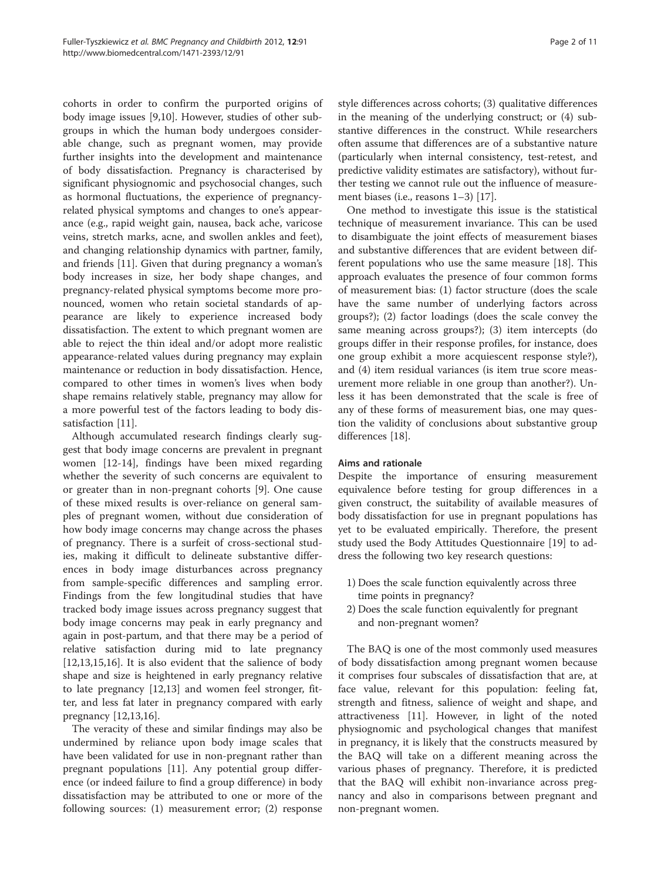cohorts in order to confirm the purported origins of body image issues [[9,10\]](#page-11-0). However, studies of other subgroups in which the human body undergoes considerable change, such as pregnant women, may provide further insights into the development and maintenance of body dissatisfaction. Pregnancy is characterised by significant physiognomic and psychosocial changes, such as hormonal fluctuations, the experience of pregnancyrelated physical symptoms and changes to one's appearance (e.g., rapid weight gain, nausea, back ache, varicose veins, stretch marks, acne, and swollen ankles and feet), and changing relationship dynamics with partner, family, and friends [[11\]](#page-11-0). Given that during pregnancy a woman's body increases in size, her body shape changes, and pregnancy-related physical symptoms become more pronounced, women who retain societal standards of appearance are likely to experience increased body dissatisfaction. The extent to which pregnant women are able to reject the thin ideal and/or adopt more realistic appearance-related values during pregnancy may explain maintenance or reduction in body dissatisfaction. Hence, compared to other times in women's lives when body shape remains relatively stable, pregnancy may allow for a more powerful test of the factors leading to body dis-satisfaction [\[11](#page-11-0)].

Although accumulated research findings clearly suggest that body image concerns are prevalent in pregnant women [\[12-14](#page-11-0)], findings have been mixed regarding whether the severity of such concerns are equivalent to or greater than in non-pregnant cohorts [[9\]](#page-11-0). One cause of these mixed results is over-reliance on general samples of pregnant women, without due consideration of how body image concerns may change across the phases of pregnancy. There is a surfeit of cross-sectional studies, making it difficult to delineate substantive differences in body image disturbances across pregnancy from sample-specific differences and sampling error. Findings from the few longitudinal studies that have tracked body image issues across pregnancy suggest that body image concerns may peak in early pregnancy and again in post-partum, and that there may be a period of relative satisfaction during mid to late pregnancy [[12,13,15,16\]](#page-11-0). It is also evident that the salience of body shape and size is heightened in early pregnancy relative to late pregnancy [[12](#page-11-0),[13](#page-11-0)] and women feel stronger, fitter, and less fat later in pregnancy compared with early pregnancy [\[12,13,16\]](#page-11-0).

The veracity of these and similar findings may also be undermined by reliance upon body image scales that have been validated for use in non-pregnant rather than pregnant populations [[11\]](#page-11-0). Any potential group difference (or indeed failure to find a group difference) in body dissatisfaction may be attributed to one or more of the following sources: (1) measurement error; (2) response style differences across cohorts; (3) qualitative differences in the meaning of the underlying construct; or (4) substantive differences in the construct. While researchers often assume that differences are of a substantive nature (particularly when internal consistency, test-retest, and predictive validity estimates are satisfactory), without further testing we cannot rule out the influence of measurement biases (i.e., reasons 1–3) [[17](#page-11-0)].

One method to investigate this issue is the statistical technique of measurement invariance. This can be used to disambiguate the joint effects of measurement biases and substantive differences that are evident between different populations who use the same measure [[18\]](#page-11-0). This approach evaluates the presence of four common forms of measurement bias: (1) factor structure (does the scale have the same number of underlying factors across groups?); (2) factor loadings (does the scale convey the same meaning across groups?); (3) item intercepts (do groups differ in their response profiles, for instance, does one group exhibit a more acquiescent response style?), and (4) item residual variances (is item true score measurement more reliable in one group than another?). Unless it has been demonstrated that the scale is free of any of these forms of measurement bias, one may question the validity of conclusions about substantive group differences [[18\]](#page-11-0).

#### Aims and rationale

Despite the importance of ensuring measurement equivalence before testing for group differences in a given construct, the suitability of available measures of body dissatisfaction for use in pregnant populations has yet to be evaluated empirically. Therefore, the present study used the Body Attitudes Questionnaire [\[19](#page-11-0)] to address the following two key research questions:

- 1) Does the scale function equivalently across three time points in pregnancy?
- 2) Does the scale function equivalently for pregnant and non-pregnant women?

The BAQ is one of the most commonly used measures of body dissatisfaction among pregnant women because it comprises four subscales of dissatisfaction that are, at face value, relevant for this population: feeling fat, strength and fitness, salience of weight and shape, and attractiveness [[11](#page-11-0)]. However, in light of the noted physiognomic and psychological changes that manifest in pregnancy, it is likely that the constructs measured by the BAQ will take on a different meaning across the various phases of pregnancy. Therefore, it is predicted that the BAQ will exhibit non-invariance across pregnancy and also in comparisons between pregnant and non-pregnant women.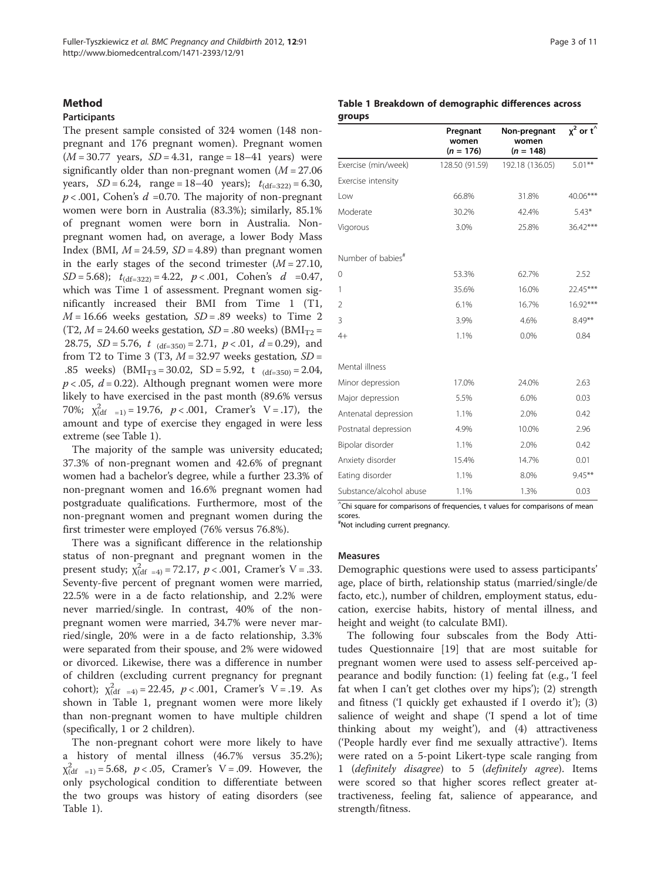#### Method

#### Participants

The present sample consisted of 324 women (148 nonpregnant and 176 pregnant women). Pregnant women  $(M = 30.77 \text{ years}, SD = 4.31, range = 18-41 \text{ years})$  were significantly older than non-pregnant women  $(M = 27.06$ years,  $SD = 6.24$ , range = 18–40 years);  $t_{(df=322)} = 6.30$ ,  $p < .001$ , Cohen's  $d = 0.70$ . The majority of non-pregnant women were born in Australia (83.3%); similarly, 85.1% of pregnant women were born in Australia. Nonpregnant women had, on average, a lower Body Mass Index (BMI,  $M = 24.59$ ,  $SD = 4.89$ ) than pregnant women in the early stages of the second trimester  $(M = 27.10,$  $SD = 5.68$ );  $t_{(df=322)} = 4.22$ ,  $p < .001$ , Cohen's  $d = 0.47$ , which was Time 1 of assessment. Pregnant women significantly increased their BMI from Time 1 (T1,  $M = 16.66$  weeks gestation,  $SD = .89$  weeks) to Time 2 (T2,  $M = 24.60$  weeks gestation,  $SD = .80$  weeks) ( $BMI_{T2} =$ 28.75,  $SD = 5.76$ ,  $t_{(df=350)} = 2.71$ ,  $p < .01$ ,  $d = 0.29$ ), and from T2 to Time 3 (T3,  $M = 32.97$  weeks gestation,  $SD =$ .85 weeks)  $(BMI_{T3} = 30.02, SD = 5.92, t_{(df=350)} = 2.04,$  $p < .05$ ,  $d = 0.22$ ). Although pregnant women were more likely to have exercised in the past month (89.6% versus 70%;  $\chi^2_{\text{(df }}=1) = 19.76$ ,  $p < .001$ , Cramer's V = .17), the amount and type of exercise they engaged in were less extreme (see Table 1).

The majority of the sample was university educated; 37.3% of non-pregnant women and 42.6% of pregnant women had a bachelor's degree, while a further 23.3% of non-pregnant women and 16.6% pregnant women had postgraduate qualifications. Furthermore, most of the non-pregnant women and pregnant women during the first trimester were employed (76% versus 76.8%).

There was a significant difference in the relationship status of non-pregnant and pregnant women in the present study;  $\chi^2_{\text{(df }=4)} = 72.17$ ,  $p < .001$ , Cramer's V = .33. Seventy-five percent of pregnant women were married, 22.5% were in a de facto relationship, and 2.2% were never married/single. In contrast, 40% of the nonpregnant women were married, 34.7% were never married/single, 20% were in a de facto relationship, 3.3% were separated from their spouse, and 2% were widowed or divorced. Likewise, there was a difference in number of children (excluding current pregnancy for pregnant cohort);  $\chi^2_{\text{(df }=4)} = 22.45$ ,  $p < .001$ , Cramer's V = .19. As shown in Table 1, pregnant women were more likely than non-pregnant women to have multiple children (specifically, 1 or 2 children).

The non-pregnant cohort were more likely to have a history of mental illness (46.7% versus 35.2%);  $\chi^2_{\text{(df }=1)}$  = 5.68,  $p < .05$ , Cramer's V = .09. However, the only psychological condition to differentiate between the two groups was history of eating disorders (see Table 1).

#### Table 1 Breakdown of demographic differences across groups

|                               | Pregnant<br>women<br>$(n = 176)$ | Non-pregnant<br>women<br>$(n = 148)$ | $x^2$ or t <sup>^</sup> |
|-------------------------------|----------------------------------|--------------------------------------|-------------------------|
| Exercise (min/week)           | 128.50 (91.59)                   | 192.18 (136.05)                      | $5.01***$               |
| Exercise intensity            |                                  |                                      |                         |
| Low                           | 66.8%                            | 31.8%                                | 40.06***                |
| Moderate                      | 30.2%                            | 42.4%                                | $5.43*$                 |
| Vigorous                      | 3.0%                             | 25.8%                                | 36.42***                |
| Number of babies <sup>#</sup> |                                  |                                      |                         |
| 0                             | 53.3%                            | 62.7%                                | 2.52                    |
| 1                             | 35.6%                            | 16.0%                                | 22.45***                |
| 2                             | 6.1%                             | 16.7%                                | 16.92***                |
| 3                             | 3.9%                             | 4.6%                                 | $8.49**$                |
| $4+$                          | 1.1%                             | 0.0%                                 | 0.84                    |
| Mental illness                |                                  |                                      |                         |
| Minor depression              | 17.0%                            | 24.0%                                | 2.63                    |
| Major depression              | 5.5%                             | 6.0%                                 | 0.03                    |
| Antenatal depression          | 1.1%                             | 2.0%                                 | 0.42                    |
| Postnatal depression          | 4.9%                             | 10.0%                                | 2.96                    |
| Bipolar disorder              | 1.1%                             | 2.0%                                 | 0.42                    |
| Anxiety disorder              | 15.4%                            | 14.7%                                | 0.01                    |
| Eating disorder               | 1.1%                             | 8.0%                                 | $9.45***$               |
| Substance/alcohol abuse       | 1.1%                             | 1.3%                                 | 0.03                    |

^ Chi square for comparisons of frequencies, t values for comparisons of mean scores.

# Not including current pregnancy.

#### Measures

Demographic questions were used to assess participants' age, place of birth, relationship status (married/single/de facto, etc.), number of children, employment status, education, exercise habits, history of mental illness, and height and weight (to calculate BMI).

The following four subscales from the Body Attitudes Questionnaire [[19\]](#page-11-0) that are most suitable for pregnant women were used to assess self-perceived appearance and bodily function: (1) feeling fat (e.g., 'I feel fat when I can't get clothes over my hips'); (2) strength and fitness ('I quickly get exhausted if I overdo it'); (3) salience of weight and shape ('I spend a lot of time thinking about my weight'), and (4) attractiveness ('People hardly ever find me sexually attractive'). Items were rated on a 5-point Likert-type scale ranging from 1 (definitely disagree) to 5 (definitely agree). Items were scored so that higher scores reflect greater attractiveness, feeling fat, salience of appearance, and strength/fitness.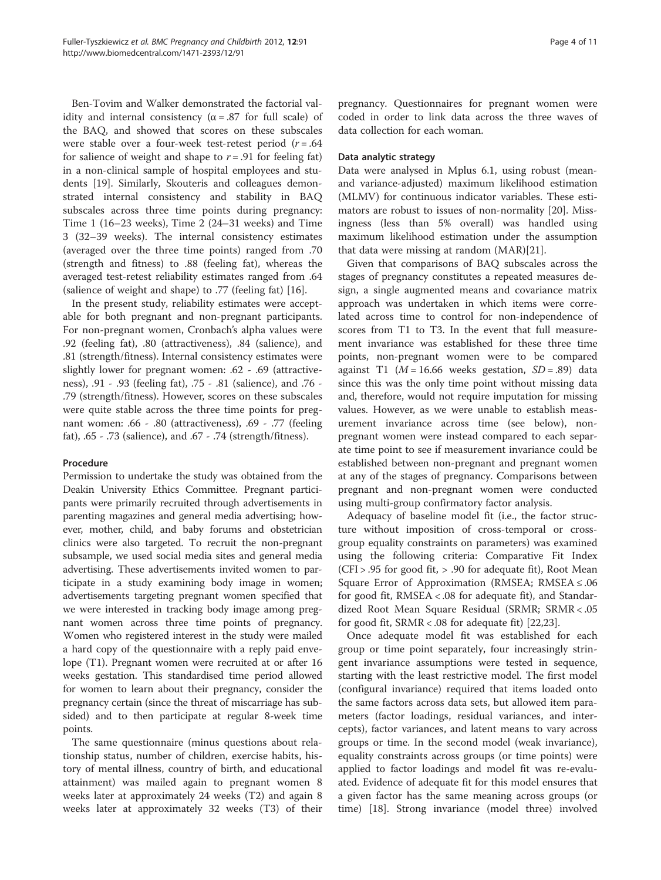Ben-Tovim and Walker demonstrated the factorial validity and internal consistency ( $\alpha = .87$  for full scale) of the BAQ, and showed that scores on these subscales were stable over a four-week test-retest period  $(r=.64)$ for salience of weight and shape to  $r = .91$  for feeling fat) in a non-clinical sample of hospital employees and students [[19\]](#page-11-0). Similarly, Skouteris and colleagues demonstrated internal consistency and stability in BAQ subscales across three time points during pregnancy: Time 1 (16–23 weeks), Time 2 (24–31 weeks) and Time 3 (32–39 weeks). The internal consistency estimates (averaged over the three time points) ranged from .70 (strength and fitness) to .88 (feeling fat), whereas the averaged test-retest reliability estimates ranged from .64 (salience of weight and shape) to .77 (feeling fat) [[16\]](#page-11-0).

In the present study, reliability estimates were acceptable for both pregnant and non-pregnant participants. For non-pregnant women, Cronbach's alpha values were .92 (feeling fat), .80 (attractiveness), .84 (salience), and .81 (strength/fitness). Internal consistency estimates were slightly lower for pregnant women: .62 - .69 (attractiveness), .91 - .93 (feeling fat), .75 - .81 (salience), and .76 - .79 (strength/fitness). However, scores on these subscales were quite stable across the three time points for pregnant women: .66 - .80 (attractiveness), .69 - .77 (feeling fat), .65 - .73 (salience), and .67 - .74 (strength/fitness).

## Procedure

Permission to undertake the study was obtained from the Deakin University Ethics Committee. Pregnant participants were primarily recruited through advertisements in parenting magazines and general media advertising; however, mother, child, and baby forums and obstetrician clinics were also targeted. To recruit the non-pregnant subsample, we used social media sites and general media advertising. These advertisements invited women to participate in a study examining body image in women; advertisements targeting pregnant women specified that we were interested in tracking body image among pregnant women across three time points of pregnancy. Women who registered interest in the study were mailed a hard copy of the questionnaire with a reply paid envelope (T1). Pregnant women were recruited at or after 16 weeks gestation. This standardised time period allowed for women to learn about their pregnancy, consider the pregnancy certain (since the threat of miscarriage has subsided) and to then participate at regular 8-week time points.

The same questionnaire (minus questions about relationship status, number of children, exercise habits, history of mental illness, country of birth, and educational attainment) was mailed again to pregnant women 8 weeks later at approximately 24 weeks (T2) and again 8 weeks later at approximately 32 weeks (T3) of their

pregnancy. Questionnaires for pregnant women were coded in order to link data across the three waves of data collection for each woman.

#### Data analytic strategy

Data were analysed in Mplus 6.1, using robust (meanand variance-adjusted) maximum likelihood estimation (MLMV) for continuous indicator variables. These estimators are robust to issues of non-normality [\[20\]](#page-11-0). Missingness (less than 5% overall) was handled using maximum likelihood estimation under the assumption that data were missing at random (MAR)[\[21](#page-11-0)].

Given that comparisons of BAQ subscales across the stages of pregnancy constitutes a repeated measures design, a single augmented means and covariance matrix approach was undertaken in which items were correlated across time to control for non-independence of scores from T1 to T3. In the event that full measurement invariance was established for these three time points, non-pregnant women were to be compared against T1 ( $M = 16.66$  weeks gestation,  $SD = .89$ ) data since this was the only time point without missing data and, therefore, would not require imputation for missing values. However, as we were unable to establish measurement invariance across time (see below), nonpregnant women were instead compared to each separate time point to see if measurement invariance could be established between non-pregnant and pregnant women at any of the stages of pregnancy. Comparisons between pregnant and non-pregnant women were conducted using multi-group confirmatory factor analysis.

Adequacy of baseline model fit (i.e., the factor structure without imposition of cross-temporal or crossgroup equality constraints on parameters) was examined using the following criteria: Comparative Fit Index (CFI > .95 for good fit, > .90 for adequate fit), Root Mean Square Error of Approximation (RMSEA; RMSEA  $\leq$  .06 for good fit, RMSEA < .08 for adequate fit), and Standardized Root Mean Square Residual (SRMR; SRMR < .05 for good fit, SRMR < .08 for adequate fit) [[22,23\]](#page-11-0).

Once adequate model fit was established for each group or time point separately, four increasingly stringent invariance assumptions were tested in sequence, starting with the least restrictive model. The first model (configural invariance) required that items loaded onto the same factors across data sets, but allowed item parameters (factor loadings, residual variances, and intercepts), factor variances, and latent means to vary across groups or time. In the second model (weak invariance), equality constraints across groups (or time points) were applied to factor loadings and model fit was re-evaluated. Evidence of adequate fit for this model ensures that a given factor has the same meaning across groups (or time) [[18\]](#page-11-0). Strong invariance (model three) involved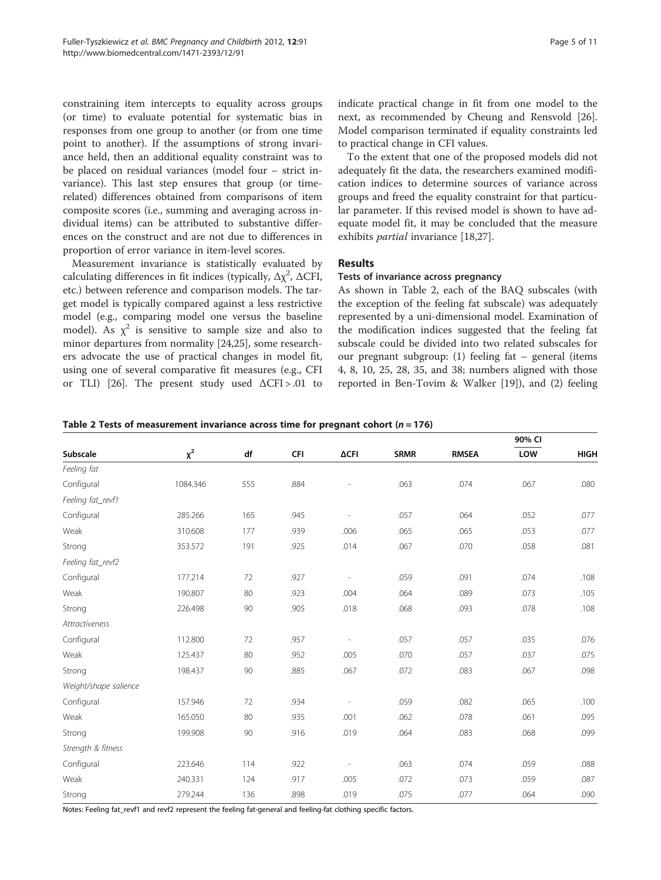constraining item intercepts to equality across groups (or time) to evaluate potential for systematic bias in responses from one group to another (or from one time point to another). If the assumptions of strong invariance held, then an additional equality constraint was to be placed on residual variances (model four – strict invariance). This last step ensures that group (or timerelated) differences obtained from comparisons of item composite scores (i.e., summing and averaging across individual items) can be attributed to substantive differences on the construct and are not due to differences in proportion of error variance in item-level scores.

Measurement invariance is statistically evaluated by calculating differences in fit indices (typically,  $\Delta \chi^2$ ,  $\Delta$ CFI, etc.) between reference and comparison models. The target model is typically compared against a less restrictive model (e.g., comparing model one versus the baseline model). As  $\chi^2$  is sensitive to sample size and also to minor departures from normality [[24,25\]](#page-11-0), some researchers advocate the use of practical changes in model fit, using one of several comparative fit measures (e.g., CFI or TLI) [[26\]](#page-11-0). The present study used  $\Delta$ CFI > .01 to indicate practical change in fit from one model to the next, as recommended by Cheung and Rensvold [\[26](#page-11-0)]. Model comparison terminated if equality constraints led to practical change in CFI values.

To the extent that one of the proposed models did not adequately fit the data, the researchers examined modification indices to determine sources of variance across groups and freed the equality constraint for that particular parameter. If this revised model is shown to have adequate model fit, it may be concluded that the measure exhibits *partial* invariance [\[18,27\]](#page-11-0).

## Results

#### Tests of invariance across pregnancy

As shown in Table 2, each of the BAQ subscales (with the exception of the feeling fat subscale) was adequately represented by a uni-dimensional model. Examination of the modification indices suggested that the feeling fat subscale could be divided into two related subscales for our pregnant subgroup: (1) feeling fat – general (items 4, 8, 10, 25, 28, 35, and 38; numbers aligned with those reported in Ben-Tovim & Walker [[19](#page-11-0)]), and (2) feeling

|  | Table 2 Tests of measurement invariance across time for pregnant cohort $(n=176)$ |  |  |
|--|-----------------------------------------------------------------------------------|--|--|
|--|-----------------------------------------------------------------------------------|--|--|

|                       |          |     |            |             |             |              | 90% CI |             |
|-----------------------|----------|-----|------------|-------------|-------------|--------------|--------|-------------|
| Subscale              | $x^2$    | df  | <b>CFI</b> | <b>ΔCFI</b> | <b>SRMR</b> | <b>RMSEA</b> | LOW    | <b>HIGH</b> |
| Feeling fat           |          |     |            |             |             |              |        |             |
| Configural            | 1084.346 | 555 | .884       |             | .063        | .074         | .067   | .080        |
| Feeling fat_revf1     |          |     |            |             |             |              |        |             |
| Configural            | 285.266  | 165 | .945       |             | .057        | .064         | .052   | .077        |
| Weak                  | 310.608  | 177 | .939       | .006        | .065        | .065         | .053   | .077        |
| Strong                | 353.572  | 191 | .925       | .014        | .067        | .070         | .058   | .081        |
| Feeling fat_revf2     |          |     |            |             |             |              |        |             |
| Configural            | 177.214  | 72  | .927       |             | .059        | .091         | .074   | .108        |
| Weak                  | 190.807  | 80  | .923       | .004        | .064        | .089         | .073   | .105        |
| Strong                | 226.498  | 90  | .905       | .018        | .068        | .093         | .078   | .108        |
| Attractiveness        |          |     |            |             |             |              |        |             |
| Configural            | 112.800  | 72  | .957       |             | .057        | .057         | .035   | .076        |
| Weak                  | 125.437  | 80  | .952       | .005        | .070        | .057         | .037   | .075        |
| Strong                | 198.437  | 90  | .885       | .067        | .072        | .083         | .067   | .098        |
| Weight/shape salience |          |     |            |             |             |              |        |             |
| Configural            | 157.946  | 72  | .934       |             | .059        | .082         | .065   | .100        |
| Weak                  | 165.050  | 80  | .935       | .001        | .062        | .078         | .061   | .095        |
| Strong                | 199.908  | 90  | .916       | .019        | .064        | .083         | .068   | .099        |
| Strength & fitness    |          |     |            |             |             |              |        |             |
| Configural            | 223.646  | 114 | .922       | ÷           | .063        | .074         | .059   | .088        |
| Weak                  | 240.331  | 124 | .917       | .005        | .072        | .073         | .059   | .087        |
| Strong                | 279.244  | 136 | .898       | .019        | .075        | .077         | .064   | .090        |

Notes: Feeling fat revf1 and revf2 represent the feeling fat-general and feeling-fat clothing specific factors.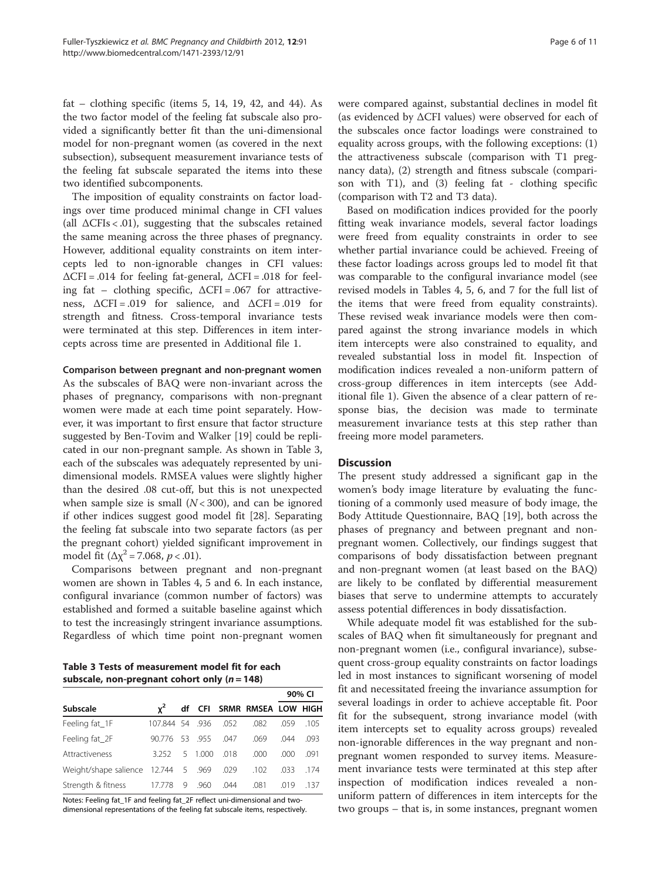fat – clothing specific (items  $5, 14, 19, 42,$  and  $44$ ). As the two factor model of the feeling fat subscale also provided a significantly better fit than the uni-dimensional model for non-pregnant women (as covered in the next subsection), subsequent measurement invariance tests of the feeling fat subscale separated the items into these two identified subcomponents.

The imposition of equality constraints on factor loadings over time produced minimal change in CFI values (all ΔCFIs < .01), suggesting that the subscales retained the same meaning across the three phases of pregnancy. However, additional equality constraints on item intercepts led to non-ignorable changes in CFI values:  $\Delta$ CFI = .014 for feeling fat-general,  $\Delta$ CFI = .018 for feeling fat – clothing specific,  $\Delta \text{CFI} = .067$  for attractiveness,  $\Delta \text{CFI} = .019$  for salience, and  $\Delta \text{CFI} = .019$  for strength and fitness. Cross-temporal invariance tests were terminated at this step. Differences in item intercepts across time are presented in Additional file [1](#page-10-0).

### Comparison between pregnant and non-pregnant women

As the subscales of BAQ were non-invariant across the phases of pregnancy, comparisons with non-pregnant women were made at each time point separately. However, it was important to first ensure that factor structure suggested by Ben-Tovim and Walker [\[19](#page-11-0)] could be replicated in our non-pregnant sample. As shown in Table 3, each of the subscales was adequately represented by unidimensional models. RMSEA values were slightly higher than the desired .08 cut-off, but this is not unexpected when sample size is small  $(N < 300)$ , and can be ignored if other indices suggest good model fit [\[28](#page-11-0)]. Separating the feeling fat subscale into two separate factors (as per the pregnant cohort) yielded significant improvement in model fit  $(\Delta x^2 = 7.068, p < .01)$ .

Comparisons between pregnant and non-pregnant women are shown in Tables [4,](#page-7-0) [5](#page-8-0) and [6](#page-9-0). In each instance, configural invariance (common number of factors) was established and formed a suitable baseline against which to test the increasingly stringent invariance assumptions. Regardless of which time point non-pregnant women

Table 3 Tests of measurement model fit for each subscale, non-pregnant cohort only  $(n = 148)$ 

|                                          |                   |              |      |                            |      | 90% CI |
|------------------------------------------|-------------------|--------------|------|----------------------------|------|--------|
| <b>Subscale</b>                          |                   |              |      | df CFI SRMR RMSEA LOW HIGH |      |        |
| Feeling fat_1F                           | 107.844 54 936    |              | .052 | .082                       | .059 | .105   |
| Feeling fat 2F                           | 90.776 53 955 047 |              |      | .069                       | .044 | .093   |
| Attractiveness                           | 3.252             | 5 1.000 .018 |      | .000                       | .000 | .091   |
| Weight/shape salience 12.744 5 .969 .029 |                   |              |      | .102                       | .033 | .174   |
| Strength & fitness                       | 17.778            | 9.960        | .044 | .081                       | .019 | .137   |

Notes: Feeling fat\_1F and feeling fat\_2F reflect uni-dimensional and twodimensional representations of the feeling fat subscale items, respectively. were compared against, substantial declines in model fit (as evidenced by ΔCFI values) were observed for each of the subscales once factor loadings were constrained to equality across groups, with the following exceptions: (1) the attractiveness subscale (comparison with T1 pregnancy data), (2) strength and fitness subscale (comparison with T1), and (3) feeling fat - clothing specific (comparison with T2 and T3 data).

Based on modification indices provided for the poorly fitting weak invariance models, several factor loadings were freed from equality constraints in order to see whether partial invariance could be achieved. Freeing of these factor loadings across groups led to model fit that was comparable to the configural invariance model (see revised models in Tables [4,](#page-7-0) [5,](#page-8-0) [6](#page-9-0), and [7](#page-10-0) for the full list of the items that were freed from equality constraints). These revised weak invariance models were then compared against the strong invariance models in which item intercepts were also constrained to equality, and revealed substantial loss in model fit. Inspection of modification indices revealed a non-uniform pattern of cross-group differences in item intercepts (see Additional file [1](#page-10-0)). Given the absence of a clear pattern of response bias, the decision was made to terminate measurement invariance tests at this step rather than freeing more model parameters.

#### **Discussion**

The present study addressed a significant gap in the women's body image literature by evaluating the functioning of a commonly used measure of body image, the Body Attitude Questionnaire, BAQ [\[19](#page-11-0)], both across the phases of pregnancy and between pregnant and nonpregnant women. Collectively, our findings suggest that comparisons of body dissatisfaction between pregnant and non-pregnant women (at least based on the BAQ) are likely to be conflated by differential measurement biases that serve to undermine attempts to accurately assess potential differences in body dissatisfaction.

While adequate model fit was established for the subscales of BAQ when fit simultaneously for pregnant and non-pregnant women (i.e., configural invariance), subsequent cross-group equality constraints on factor loadings led in most instances to significant worsening of model fit and necessitated freeing the invariance assumption for several loadings in order to achieve acceptable fit. Poor fit for the subsequent, strong invariance model (with item intercepts set to equality across groups) revealed non-ignorable differences in the way pregnant and nonpregnant women responded to survey items. Measurement invariance tests were terminated at this step after inspection of modification indices revealed a nonuniform pattern of differences in item intercepts for the two groups – that is, in some instances, pregnant women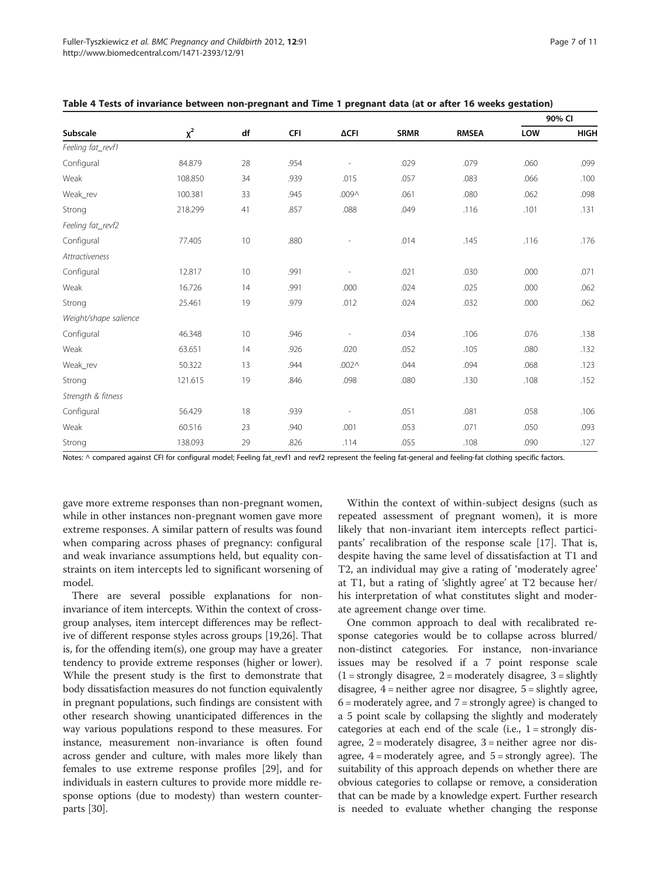|                       |          |    |            |                   |             |              | 90% CI |             |
|-----------------------|----------|----|------------|-------------------|-------------|--------------|--------|-------------|
| Subscale              | $\chi^2$ | df | <b>CFI</b> | $\Delta$ CFI      | <b>SRMR</b> | <b>RMSEA</b> | LOW    | <b>HIGH</b> |
| Feeling fat_revf1     |          |    |            |                   |             |              |        |             |
| Configural            | 84.879   | 28 | .954       | Ĭ.                | .029        | .079         | .060   | .099        |
| Weak                  | 108.850  | 34 | .939       | .015              | .057        | .083         | .066   | .100        |
| Weak rev              | 100.381  | 33 | .945       | .009 <sub>0</sub> | .061        | .080         | .062   | .098        |
| Strong                | 218.299  | 41 | .857       | .088              | .049        | .116         | .101   | .131        |
| Feeling fat_revf2     |          |    |            |                   |             |              |        |             |
| Configural            | 77.405   | 10 | .880       |                   | .014        | .145         | .116   | .176        |
| Attractiveness        |          |    |            |                   |             |              |        |             |
| Configural            | 12.817   | 10 | .991       |                   | .021        | .030         | .000   | .071        |
| Weak                  | 16.726   | 14 | .991       | .000              | .024        | .025         | .000   | .062        |
| Strong                | 25.461   | 19 | .979       | .012              | .024        | .032         | .000   | .062        |
| Weight/shape salience |          |    |            |                   |             |              |        |             |
| Configural            | 46.348   | 10 | .946       | J.                | .034        | .106         | .076   | .138        |
| Weak                  | 63.651   | 14 | .926       | .020              | .052        | .105         | .080   | .132        |
| Weak_rev              | 50.322   | 13 | .944       | .002 $\wedge$     | .044        | .094         | .068   | .123        |
| Strong                | 121.615  | 19 | .846       | .098              | .080        | .130         | .108   | .152        |
| Strength & fitness    |          |    |            |                   |             |              |        |             |
| Configural            | 56.429   | 18 | .939       | ÷,                | .051        | .081         | .058   | .106        |
| Weak                  | 60.516   | 23 | .940       | .001              | .053        | .071         | .050   | .093        |
| Strong                | 138.093  | 29 | .826       | .114              | .055        | .108         | .090   | .127        |

<span id="page-7-0"></span>

| Table 4 Tests of invariance between non-pregnant and Time 1 pregnant data (at or after 16 weeks gestation) |  |  |
|------------------------------------------------------------------------------------------------------------|--|--|
|------------------------------------------------------------------------------------------------------------|--|--|

Notes: ^ compared against CFI for configural model; Feeling fat\_revf1 and revf2 represent the feeling fat-general and feeling-fat clothing specific factors.

gave more extreme responses than non-pregnant women, while in other instances non-pregnant women gave more extreme responses. A similar pattern of results was found when comparing across phases of pregnancy: configural and weak invariance assumptions held, but equality constraints on item intercepts led to significant worsening of model.

There are several possible explanations for noninvariance of item intercepts. Within the context of crossgroup analyses, item intercept differences may be reflective of different response styles across groups [\[19,26](#page-11-0)]. That is, for the offending item(s), one group may have a greater tendency to provide extreme responses (higher or lower). While the present study is the first to demonstrate that body dissatisfaction measures do not function equivalently in pregnant populations, such findings are consistent with other research showing unanticipated differences in the way various populations respond to these measures. For instance, measurement non-invariance is often found across gender and culture, with males more likely than females to use extreme response profiles [\[29\]](#page-11-0), and for individuals in eastern cultures to provide more middle response options (due to modesty) than western counterparts [\[30\]](#page-11-0).

Within the context of within-subject designs (such as repeated assessment of pregnant women), it is more likely that non-invariant item intercepts reflect participants' recalibration of the response scale [\[17](#page-11-0)]. That is, despite having the same level of dissatisfaction at T1 and T2, an individual may give a rating of 'moderately agree' at T1, but a rating of 'slightly agree' at T2 because her/ his interpretation of what constitutes slight and moderate agreement change over time.

One common approach to deal with recalibrated response categories would be to collapse across blurred/ non-distinct categories. For instance, non-invariance issues may be resolved if a 7 point response scale  $(1 =$  strongly disagree,  $2 =$  moderately disagree,  $3 =$  slightly disagree, 4 = neither agree nor disagree, 5 = slightly agree,  $6 =$  moderately agree, and  $7 =$  strongly agree) is changed to a 5 point scale by collapsing the slightly and moderately categories at each end of the scale (i.e.,  $1 =$  strongly disagree,  $2$  = moderately disagree,  $3$  = neither agree nor disagree, 4 = moderately agree, and 5 = strongly agree). The suitability of this approach depends on whether there are obvious categories to collapse or remove, a consideration that can be made by a knowledge expert. Further research is needed to evaluate whether changing the response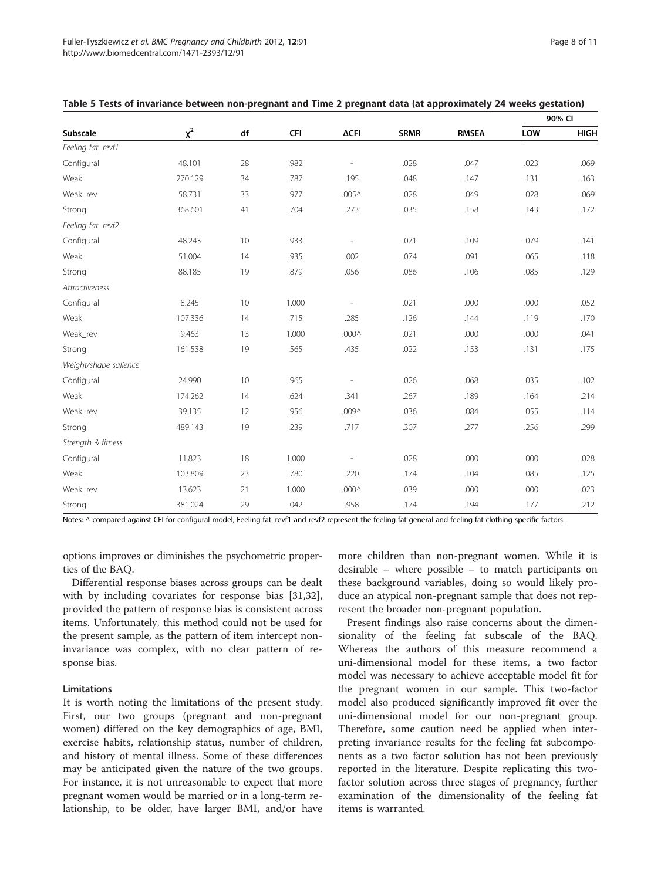|                       |          |    |            |                   |             |              | 90% CI |             |
|-----------------------|----------|----|------------|-------------------|-------------|--------------|--------|-------------|
| Subscale              | $\chi^2$ | df | <b>CFI</b> | ΔCFI              | <b>SRMR</b> | <b>RMSEA</b> | LOW    | <b>HIGH</b> |
| Feeling fat_revf1     |          |    |            |                   |             |              |        |             |
| Configural            | 48.101   | 28 | .982       |                   | .028        | .047         | .023   | .069        |
| Weak                  | 270.129  | 34 | .787       | .195              | .048        | .147         | .131   | .163        |
| Weak rev              | 58.731   | 33 | .977       | $.005 \wedge$     | .028        | .049         | .028   | .069        |
| Strong                | 368.601  | 41 | .704       | .273              | .035        | .158         | .143   | .172        |
| Feeling fat_revf2     |          |    |            |                   |             |              |        |             |
| Configural            | 48.243   | 10 | .933       | ä,                | .071        | .109         | .079   | .141        |
| Weak                  | 51.004   | 14 | .935       | .002              | .074        | .091         | .065   | .118        |
| Strong                | 88.185   | 19 | .879       | .056              | .086        | .106         | .085   | .129        |
| <b>Attractiveness</b> |          |    |            |                   |             |              |        |             |
| Configural            | 8.245    | 10 | 1.000      |                   | .021        | .000         | .000   | .052        |
| Weak                  | 107.336  | 14 | .715       | .285              | .126        | .144         | .119   | .170        |
| Weak_rev              | 9.463    | 13 | 1.000      | .000 <sub>0</sub> | .021        | .000         | .000   | .041        |
| Strong                | 161.538  | 19 | .565       | .435              | .022        | .153         | .131   | .175        |
| Weight/shape salience |          |    |            |                   |             |              |        |             |
| Configural            | 24.990   | 10 | .965       | ÷,                | .026        | .068         | .035   | .102        |
| Weak                  | 174.262  | 14 | .624       | .341              | .267        | .189         | .164   | .214        |
| Weak_rev              | 39.135   | 12 | .956       | .009 <sub>0</sub> | .036        | .084         | .055   | .114        |
| Strong                | 489.143  | 19 | .239       | .717              | .307        | .277         | .256   | .299        |
| Strength & fitness    |          |    |            |                   |             |              |        |             |
| Configural            | 11.823   | 18 | 1.000      | ÷,                | .028        | .000         | .000   | .028        |
| Weak                  | 103.809  | 23 | .780       | .220              | .174        | .104         | .085   | .125        |
| Weak rev              | 13.623   | 21 | 1.000      | .000 <sub>0</sub> | .039        | .000         | .000   | .023        |
| Strong                | 381.024  | 29 | .042       | .958              | .174        | .194         | .177   | .212        |

<span id="page-8-0"></span>

| Table 5 Tests of invariance between non-pregnant and Time 2 pregnant data (at approximately 24 weeks gestation) |  |  |  |  |
|-----------------------------------------------------------------------------------------------------------------|--|--|--|--|
|-----------------------------------------------------------------------------------------------------------------|--|--|--|--|

Notes: ^ compared against CFI for configural model; Feeling fat\_revf1 and revf2 represent the feeling fat-general and feeling-fat clothing specific factors.

options improves or diminishes the psychometric properties of the BAQ.

Differential response biases across groups can be dealt with by including covariates for response bias [\[31,32](#page-11-0)], provided the pattern of response bias is consistent across items. Unfortunately, this method could not be used for the present sample, as the pattern of item intercept noninvariance was complex, with no clear pattern of response bias.

#### Limitations

It is worth noting the limitations of the present study. First, our two groups (pregnant and non-pregnant women) differed on the key demographics of age, BMI, exercise habits, relationship status, number of children, and history of mental illness. Some of these differences may be anticipated given the nature of the two groups. For instance, it is not unreasonable to expect that more pregnant women would be married or in a long-term relationship, to be older, have larger BMI, and/or have

more children than non-pregnant women. While it is desirable – where possible – to match participants on these background variables, doing so would likely produce an atypical non-pregnant sample that does not represent the broader non-pregnant population.

Present findings also raise concerns about the dimensionality of the feeling fat subscale of the BAQ. Whereas the authors of this measure recommend a uni-dimensional model for these items, a two factor model was necessary to achieve acceptable model fit for the pregnant women in our sample. This two-factor model also produced significantly improved fit over the uni-dimensional model for our non-pregnant group. Therefore, some caution need be applied when interpreting invariance results for the feeling fat subcomponents as a two factor solution has not been previously reported in the literature. Despite replicating this twofactor solution across three stages of pregnancy, further examination of the dimensionality of the feeling fat items is warranted.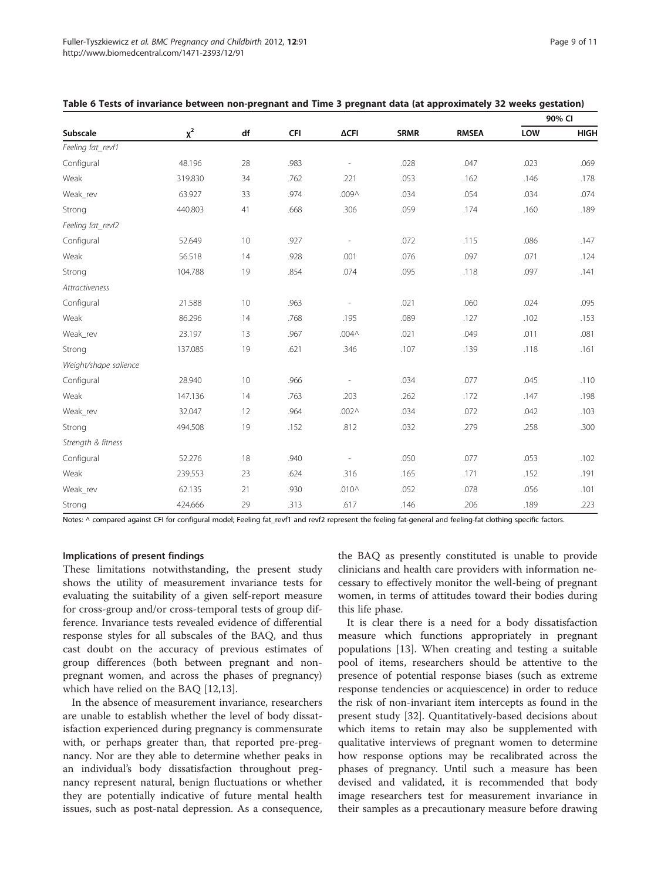|                       |          |    |            |                   |             |              | 90% CI |             |  |
|-----------------------|----------|----|------------|-------------------|-------------|--------------|--------|-------------|--|
| Subscale              | $\chi^2$ | df | <b>CFI</b> | <b>ΔCFI</b>       | <b>SRMR</b> | <b>RMSEA</b> | LOW    | <b>HIGH</b> |  |
| Feeling fat_revf1     |          |    |            |                   |             |              |        |             |  |
| Configural            | 48.196   | 28 | .983       |                   | .028        | .047         | .023   | .069        |  |
| Weak                  | 319.830  | 34 | .762       | .221              | .053        | .162         | .146   | .178        |  |
| Weak_rev              | 63.927   | 33 | .974       | .009 $\wedge$     | .034        | .054         | .034   | .074        |  |
| Strong                | 440.803  | 41 | .668       | .306              | .059        | .174         | .160   | .189        |  |
| Feeling fat_revf2     |          |    |            |                   |             |              |        |             |  |
| Configural            | 52.649   | 10 | .927       |                   | .072        | .115         | .086   | .147        |  |
| Weak                  | 56.518   | 14 | .928       | .001              | .076        | .097         | .071   | .124        |  |
| Strong                | 104.788  | 19 | .854       | .074              | .095        | .118         | .097   | .141        |  |
| Attractiveness        |          |    |            |                   |             |              |        |             |  |
| Configural            | 21.588   | 10 | .963       |                   | .021        | .060         | .024   | .095        |  |
| Weak                  | 86.296   | 14 | .768       | .195              | .089        | .127         | .102   | .153        |  |
| Weak_rev              | 23.197   | 13 | .967       | .004 <sub>0</sub> | .021        | .049         | .011   | .081        |  |
| Strong                | 137.085  | 19 | .621       | .346              | .107        | .139         | .118   | .161        |  |
| Weight/shape salience |          |    |            |                   |             |              |        |             |  |
| Configural            | 28.940   | 10 | .966       |                   | .034        | .077         | .045   | .110        |  |
| Weak                  | 147.136  | 14 | .763       | .203              | .262        | .172         | .147   | .198        |  |
| Weak_rev              | 32.047   | 12 | .964       | .002 $\wedge$     | .034        | .072         | .042   | .103        |  |
| Strong                | 494.508  | 19 | .152       | .812              | .032        | .279         | .258   | .300        |  |
| Strength & fitness    |          |    |            |                   |             |              |        |             |  |
| Configural            | 52.276   | 18 | .940       |                   | .050        | .077         | .053   | .102        |  |
| Weak                  | 239.553  | 23 | .624       | .316              | .165        | .171         | .152   | .191        |  |
| Weak rev              | 62.135   | 21 | .930       | $.010^$           | .052        | .078         | .056   | .101        |  |
| Strong                | 424.666  | 29 | .313       | .617              | .146        | .206         | .189   | .223        |  |

<span id="page-9-0"></span>

| Table 6 Tests of invariance between non-pregnant and Time 3 pregnant data (at approximately 32 weeks gestation) |  |  |
|-----------------------------------------------------------------------------------------------------------------|--|--|
|-----------------------------------------------------------------------------------------------------------------|--|--|

Notes: ^ compared against CFI for configural model; Feeling fat\_revf1 and revf2 represent the feeling fat-general and feeling-fat clothing specific factors.

#### Implications of present findings

These limitations notwithstanding, the present study shows the utility of measurement invariance tests for evaluating the suitability of a given self-report measure for cross-group and/or cross-temporal tests of group difference. Invariance tests revealed evidence of differential response styles for all subscales of the BAQ, and thus cast doubt on the accuracy of previous estimates of group differences (both between pregnant and nonpregnant women, and across the phases of pregnancy) which have relied on the BAQ [\[12,13\]](#page-11-0).

In the absence of measurement invariance, researchers are unable to establish whether the level of body dissatisfaction experienced during pregnancy is commensurate with, or perhaps greater than, that reported pre-pregnancy. Nor are they able to determine whether peaks in an individual's body dissatisfaction throughout pregnancy represent natural, benign fluctuations or whether they are potentially indicative of future mental health issues, such as post-natal depression. As a consequence, the BAQ as presently constituted is unable to provide clinicians and health care providers with information necessary to effectively monitor the well-being of pregnant women, in terms of attitudes toward their bodies during this life phase.

It is clear there is a need for a body dissatisfaction measure which functions appropriately in pregnant populations [\[13](#page-11-0)]. When creating and testing a suitable pool of items, researchers should be attentive to the presence of potential response biases (such as extreme response tendencies or acquiescence) in order to reduce the risk of non-invariant item intercepts as found in the present study [\[32](#page-11-0)]. Quantitatively-based decisions about which items to retain may also be supplemented with qualitative interviews of pregnant women to determine how response options may be recalibrated across the phases of pregnancy. Until such a measure has been devised and validated, it is recommended that body image researchers test for measurement invariance in their samples as a precautionary measure before drawing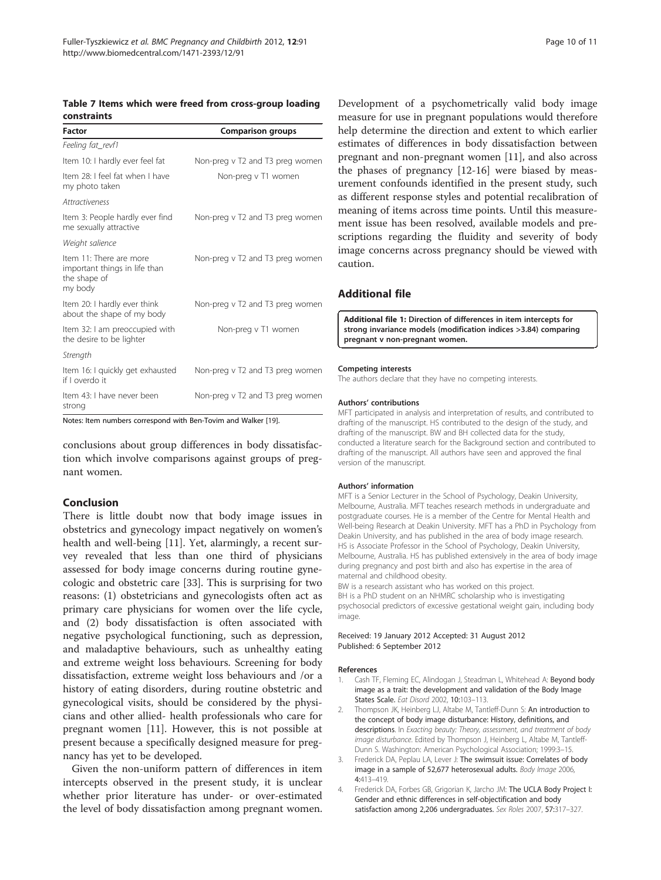#### <span id="page-10-0"></span>Table 7 Items which were freed from cross-group loading constraints

| Factor                                                                              | <b>Comparison groups</b>        |
|-------------------------------------------------------------------------------------|---------------------------------|
| Feeling fat_revf1                                                                   |                                 |
| Item 10: I hardly ever feel fat                                                     | Non-preg v T2 and T3 preg women |
| Item 28: I feel fat when I have<br>my photo taken                                   | Non-preg v T1 women             |
| <b>Attractiveness</b>                                                               |                                 |
| Item 3: People hardly ever find<br>me sexually attractive                           | Non-preg v T2 and T3 preg women |
| Weight salience                                                                     |                                 |
| Item 11: There are more<br>important things in life than<br>the shape of<br>my body | Non-preg v T2 and T3 preg women |
| Item 20: I hardly ever think<br>about the shape of my body                          | Non-preg v T2 and T3 preg women |
| Item 32: I am preoccupied with<br>the desire to be lighter                          | Non-preg v T1 women             |
| Strength                                                                            |                                 |
| Item 16: I quickly get exhausted<br>if I overdo it                                  | Non-preg v T2 and T3 preg women |
| Item 43: I have never been<br>strong                                                | Non-preg v T2 and T3 preg women |

Notes: Item numbers correspond with Ben-Tovim and Walker [[19\]](#page-11-0).

conclusions about group differences in body dissatisfaction which involve comparisons against groups of pregnant women.

#### Conclusion

There is little doubt now that body image issues in obstetrics and gynecology impact negatively on women's health and well-being [[11\]](#page-11-0). Yet, alarmingly, a recent survey revealed that less than one third of physicians assessed for body image concerns during routine gynecologic and obstetric care [\[33\]](#page-11-0). This is surprising for two reasons: (1) obstetricians and gynecologists often act as primary care physicians for women over the life cycle, and (2) body dissatisfaction is often associated with negative psychological functioning, such as depression, and maladaptive behaviours, such as unhealthy eating and extreme weight loss behaviours. Screening for body dissatisfaction, extreme weight loss behaviours and /or a history of eating disorders, during routine obstetric and gynecological visits, should be considered by the physicians and other allied- health professionals who care for pregnant women [\[11](#page-11-0)]. However, this is not possible at present because a specifically designed measure for pregnancy has yet to be developed.

Given the non-uniform pattern of differences in item intercepts observed in the present study, it is unclear whether prior literature has under- or over-estimated the level of body dissatisfaction among pregnant women.

Development of a psychometrically valid body image measure for use in pregnant populations would therefore help determine the direction and extent to which earlier estimates of differences in body dissatisfaction between pregnant and non-pregnant women [[11\]](#page-11-0), and also across the phases of pregnancy [[12](#page-11-0)-[16\]](#page-11-0) were biased by measurement confounds identified in the present study, such as different response styles and potential recalibration of meaning of items across time points. Until this measurement issue has been resolved, available models and prescriptions regarding the fluidity and severity of body image concerns across pregnancy should be viewed with caution.

## Additional file

[Additional file 1:](http://www.biomedcentral.com/content/supplementary/1471-2393-12-91-S1.doc) Direction of differences in item intercepts for strong invariance models (modification indices >3.84) comparing pregnant v non-pregnant women.

#### Competing interests

The authors declare that they have no competing interests.

#### Authors' contributions

MFT participated in analysis and interpretation of results, and contributed to drafting of the manuscript. HS contributed to the design of the study, and drafting of the manuscript. BW and BH collected data for the study, conducted a literature search for the Background section and contributed to drafting of the manuscript. All authors have seen and approved the final version of the manuscript.

#### Authors' information

MFT is a Senior Lecturer in the School of Psychology, Deakin University, Melbourne, Australia. MFT teaches research methods in undergraduate and postgraduate courses. He is a member of the Centre for Mental Health and Well-being Research at Deakin University. MFT has a PhD in Psychology from Deakin University, and has published in the area of body image research. HS is Associate Professor in the School of Psychology, Deakin University, Melbourne, Australia. HS has published extensively in the area of body image during pregnancy and post birth and also has expertise in the area of maternal and childhood obesity.

BW is a research assistant who has worked on this project. BH is a PhD student on an NHMRC scholarship who is investigating psychosocial predictors of excessive gestational weight gain, including body image.

#### Received: 19 January 2012 Accepted: 31 August 2012 Published: 6 September 2012

#### References

- 1. Cash TF, Fleming EC, Alindogan J, Steadman L, Whitehead A: Beyond body image as a trait: the development and validation of the Body Image States Scale. Eat Disord 2002, 10:103–113.
- 2. Thompson JK, Heinberg LJ, Altabe M, Tantleff-Dunn S: An introduction to the concept of body image disturbance: History, definitions, and descriptions. In Exacting beauty: Theory, assessment, and treatment of body image disturbance. Edited by Thompson J, Heinberg L, Altabe M, Tantleff-Dunn S. Washington: American Psychological Association; 1999:3–15.
- 3. Frederick DA, Peplau LA, Lever J: The swimsuit issue: Correlates of body image in a sample of 52,677 heterosexual adults. Body Image 2006, 4:413–419.
- 4. Frederick DA, Forbes GB, Grigorian K, Jarcho JM: The UCLA Body Project I: Gender and ethnic differences in self-objectification and body satisfaction among 2,206 undergraduates. Sex Roles 2007, 57:317–327.